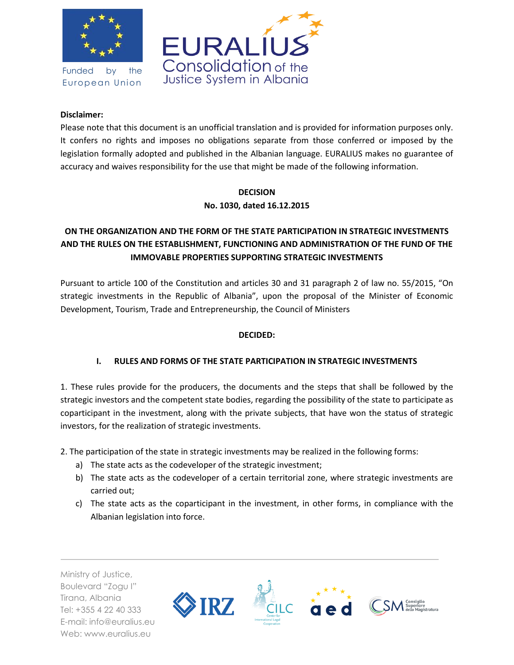

Funded by the European Union



#### **Disclaimer:**

Please note that this document is an unofficial translation and is provided for information purposes only. It confers no rights and imposes no obligations separate from those conferred or imposed by the legislation formally adopted and published in the Albanian language. EURALIUS makes no guarantee of accuracy and waives responsibility for the use that might be made of the following information.

### **DECISION**

### **No. 1030, dated 16.12.2015**

# **ON THE ORGANIZATION AND THE FORM OF THE STATE PARTICIPATION IN STRATEGIC INVESTMENTS AND THE RULES ON THE ESTABLISHMENT, FUNCTIONING AND ADMINISTRATION OF THE FUND OF THE IMMOVABLE PROPERTIES SUPPORTING STRATEGIC INVESTMENTS**

Pursuant to article 100 of the Constitution and articles 30 and 31 paragraph 2 of law no. 55/2015, "On strategic investments in the Republic of Albania", upon the proposal of the Minister of Economic Development, Tourism, Trade and Entrepreneurship, the Council of Ministers

### **DECIDED:**

### **I. RULES AND FORMS OF THE STATE PARTICIPATION IN STRATEGIC INVESTMENTS**

1. These rules provide for the producers, the documents and the steps that shall be followed by the strategic investors and the competent state bodies, regarding the possibility of the state to participate as coparticipant in the investment, along with the private subjects, that have won the status of strategic investors, for the realization of strategic investments.

2. The participation of the state in strategic investments may be realized in the following forms:

- a) The state acts as the codeveloper of the strategic investment;
- b) The state acts as the codeveloper of a certain territorial zone, where strategic investments are carried out;
- c) The state acts as the coparticipant in the investment, in other forms, in compliance with the Albanian legislation into force.

Ministry of Justice, Boulevard "Zogu I" Tirana, Albania Tel: +355 4 22 40 333 E-mail: info@euralius.eu Web: www.euralius.eu

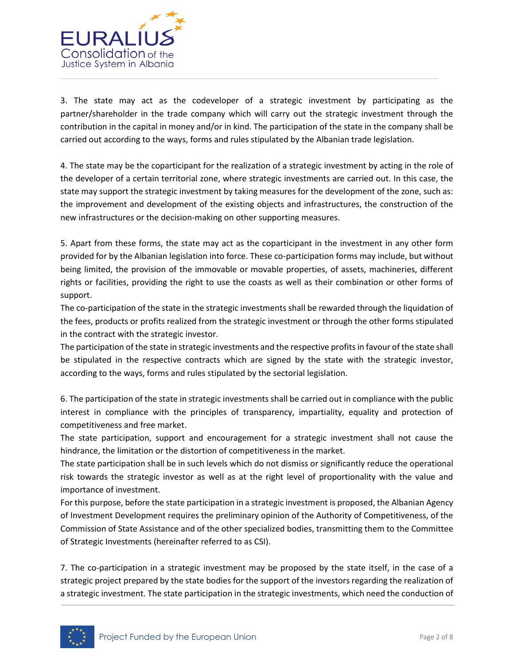

3. The state may act as the codeveloper of a strategic investment by participating as the partner/shareholder in the trade company which will carry out the strategic investment through the contribution in the capital in money and/or in kind. The participation of the state in the company shall be carried out according to the ways, forms and rules stipulated by the Albanian trade legislation.

4. The state may be the coparticipant for the realization of a strategic investment by acting in the role of the developer of a certain territorial zone, where strategic investments are carried out. In this case, the state may support the strategic investment by taking measures for the development of the zone, such as: the improvement and development of the existing objects and infrastructures, the construction of the new infrastructures or the decision-making on other supporting measures.

5. Apart from these forms, the state may act as the coparticipant in the investment in any other form provided for by the Albanian legislation into force. These co-participation forms may include, but without being limited, the provision of the immovable or movable properties, of assets, machineries, different rights or facilities, providing the right to use the coasts as well as their combination or other forms of support.

The co-participation of the state in the strategic investments shall be rewarded through the liquidation of the fees, products or profits realized from the strategic investment or through the other forms stipulated in the contract with the strategic investor.

The participation of the state in strategic investments and the respective profits in favour of the state shall be stipulated in the respective contracts which are signed by the state with the strategic investor, according to the ways, forms and rules stipulated by the sectorial legislation.

6. The participation of the state in strategic investments shall be carried out in compliance with the public interest in compliance with the principles of transparency, impartiality, equality and protection of competitiveness and free market.

The state participation, support and encouragement for a strategic investment shall not cause the hindrance, the limitation or the distortion of competitiveness in the market.

The state participation shall be in such levels which do not dismiss or significantly reduce the operational risk towards the strategic investor as well as at the right level of proportionality with the value and importance of investment.

For this purpose, before the state participation in a strategic investment is proposed, the Albanian Agency of Investment Development requires the preliminary opinion of the Authority of Competitiveness, of the Commission of State Assistance and of the other specialized bodies, transmitting them to the Committee of Strategic Investments (hereinafter referred to as CSI).

7. The co-participation in a strategic investment may be proposed by the state itself, in the case of a strategic project prepared by the state bodies for the support of the investors regarding the realization of a strategic investment. The state participation in the strategic investments, which need the conduction of

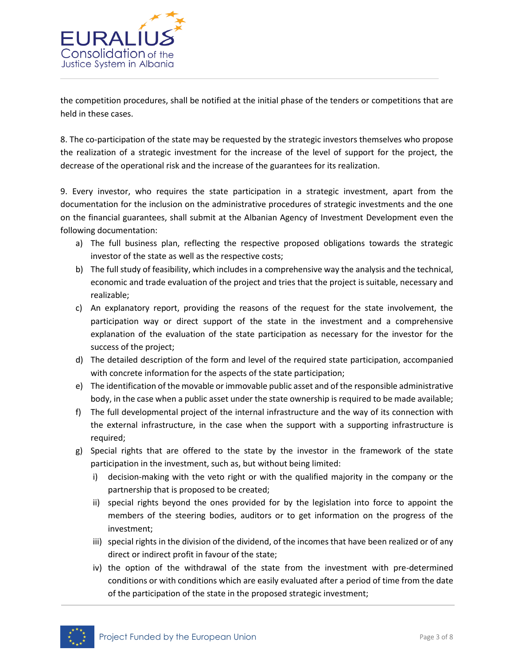

the competition procedures, shall be notified at the initial phase of the tenders or competitions that are held in these cases.

8. The co-participation of the state may be requested by the strategic investors themselves who propose the realization of a strategic investment for the increase of the level of support for the project, the decrease of the operational risk and the increase of the guarantees for its realization.

9. Every investor, who requires the state participation in a strategic investment, apart from the documentation for the inclusion on the administrative procedures of strategic investments and the one on the financial guarantees, shall submit at the Albanian Agency of Investment Development even the following documentation:

- a) The full business plan, reflecting the respective proposed obligations towards the strategic investor of the state as well as the respective costs;
- b) The full study of feasibility, which includes in a comprehensive way the analysis and the technical, economic and trade evaluation of the project and tries that the project is suitable, necessary and realizable;
- c) An explanatory report, providing the reasons of the request for the state involvement, the participation way or direct support of the state in the investment and a comprehensive explanation of the evaluation of the state participation as necessary for the investor for the success of the project;
- d) The detailed description of the form and level of the required state participation, accompanied with concrete information for the aspects of the state participation;
- e) The identification of the movable or immovable public asset and of the responsible administrative body, in the case when a public asset under the state ownership is required to be made available;
- f) The full developmental project of the internal infrastructure and the way of its connection with the external infrastructure, in the case when the support with a supporting infrastructure is required;
- g) Special rights that are offered to the state by the investor in the framework of the state participation in the investment, such as, but without being limited:
	- i) decision-making with the veto right or with the qualified majority in the company or the partnership that is proposed to be created;
	- ii) special rights beyond the ones provided for by the legislation into force to appoint the members of the steering bodies, auditors or to get information on the progress of the investment;
	- iii) special rights in the division of the dividend, of the incomes that have been realized or of any direct or indirect profit in favour of the state;
	- iv) the option of the withdrawal of the state from the investment with pre-determined conditions or with conditions which are easily evaluated after a period of time from the date of the participation of the state in the proposed strategic investment;

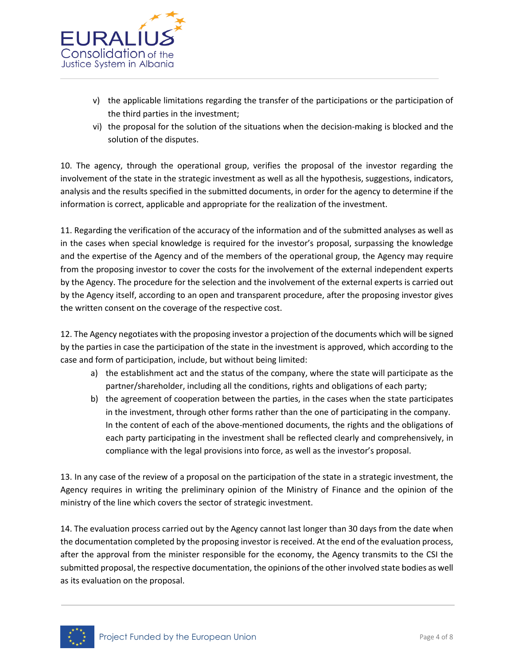

- v) the applicable limitations regarding the transfer of the participations or the participation of the third parties in the investment;
- vi) the proposal for the solution of the situations when the decision-making is blocked and the solution of the disputes.

10. The agency, through the operational group, verifies the proposal of the investor regarding the involvement of the state in the strategic investment as well as all the hypothesis, suggestions, indicators, analysis and the results specified in the submitted documents, in order for the agency to determine if the information is correct, applicable and appropriate for the realization of the investment.

11. Regarding the verification of the accuracy of the information and of the submitted analyses as well as in the cases when special knowledge is required for the investor's proposal, surpassing the knowledge and the expertise of the Agency and of the members of the operational group, the Agency may require from the proposing investor to cover the costs for the involvement of the external independent experts by the Agency. The procedure for the selection and the involvement of the external experts is carried out by the Agency itself, according to an open and transparent procedure, after the proposing investor gives the written consent on the coverage of the respective cost.

12. The Agency negotiates with the proposing investor a projection of the documents which will be signed by the parties in case the participation of the state in the investment is approved, which according to the case and form of participation, include, but without being limited:

- a) the establishment act and the status of the company, where the state will participate as the partner/shareholder, including all the conditions, rights and obligations of each party;
- b) the agreement of cooperation between the parties, in the cases when the state participates in the investment, through other forms rather than the one of participating in the company. In the content of each of the above-mentioned documents, the rights and the obligations of each party participating in the investment shall be reflected clearly and comprehensively, in compliance with the legal provisions into force, as well as the investor's proposal.

13. In any case of the review of a proposal on the participation of the state in a strategic investment, the Agency requires in writing the preliminary opinion of the Ministry of Finance and the opinion of the ministry of the line which covers the sector of strategic investment.

14. The evaluation process carried out by the Agency cannot last longer than 30 days from the date when the documentation completed by the proposing investor is received. At the end of the evaluation process, after the approval from the minister responsible for the economy, the Agency transmits to the CSI the submitted proposal, the respective documentation, the opinions of the other involved state bodies as well as its evaluation on the proposal.

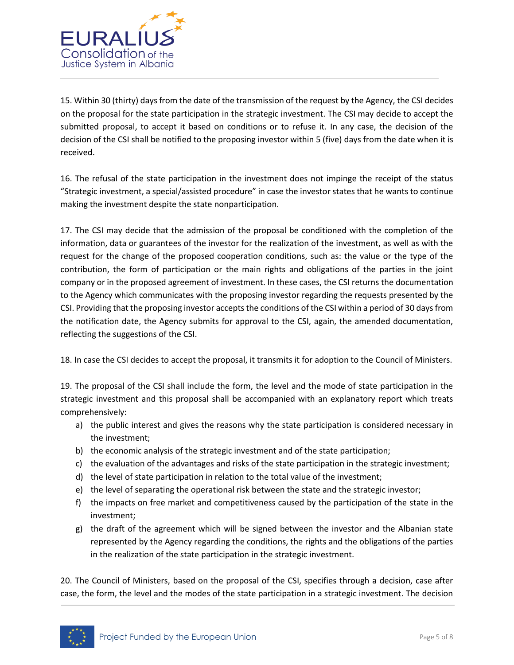

15. Within 30 (thirty) days from the date of the transmission of the request by the Agency, the CSI decides on the proposal for the state participation in the strategic investment. The CSI may decide to accept the submitted proposal, to accept it based on conditions or to refuse it. In any case, the decision of the decision of the CSI shall be notified to the proposing investor within 5 (five) days from the date when it is received.

16. The refusal of the state participation in the investment does not impinge the receipt of the status "Strategic investment, a special/assisted procedure" in case the investor states that he wants to continue making the investment despite the state nonparticipation.

17. The CSI may decide that the admission of the proposal be conditioned with the completion of the information, data or guarantees of the investor for the realization of the investment, as well as with the request for the change of the proposed cooperation conditions, such as: the value or the type of the contribution, the form of participation or the main rights and obligations of the parties in the joint company or in the proposed agreement of investment. In these cases, the CSI returns the documentation to the Agency which communicates with the proposing investor regarding the requests presented by the CSI. Providing that the proposing investor accepts the conditions of the CSI within a period of 30 days from the notification date, the Agency submits for approval to the CSI, again, the amended documentation, reflecting the suggestions of the CSI.

18. In case the CSI decides to accept the proposal, it transmits it for adoption to the Council of Ministers.

19. The proposal of the CSI shall include the form, the level and the mode of state participation in the strategic investment and this proposal shall be accompanied with an explanatory report which treats comprehensively:

- a) the public interest and gives the reasons why the state participation is considered necessary in the investment;
- b) the economic analysis of the strategic investment and of the state participation;
- c) the evaluation of the advantages and risks of the state participation in the strategic investment;
- d) the level of state participation in relation to the total value of the investment;
- e) the level of separating the operational risk between the state and the strategic investor;
- f) the impacts on free market and competitiveness caused by the participation of the state in the investment;
- g) the draft of the agreement which will be signed between the investor and the Albanian state represented by the Agency regarding the conditions, the rights and the obligations of the parties in the realization of the state participation in the strategic investment.

20. The Council of Ministers, based on the proposal of the CSI, specifies through a decision, case after case, the form, the level and the modes of the state participation in a strategic investment. The decision

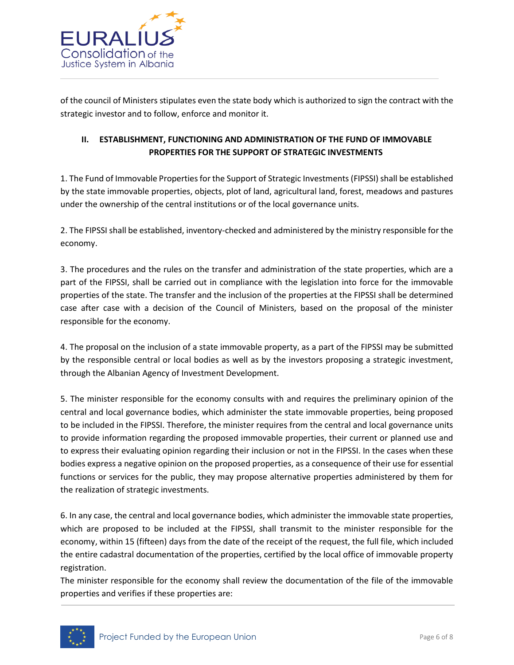

of the council of Ministers stipulates even the state body which is authorized to sign the contract with the strategic investor and to follow, enforce and monitor it.

## **II. ESTABLISHMENT, FUNCTIONING AND ADMINISTRATION OF THE FUND OF IMMOVABLE PROPERTIES FOR THE SUPPORT OF STRATEGIC INVESTMENTS**

1. The Fund of Immovable Properties for the Support of Strategic Investments (FIPSSI) shall be established by the state immovable properties, objects, plot of land, agricultural land, forest, meadows and pastures under the ownership of the central institutions or of the local governance units.

2. The FIPSSI shall be established, inventory-checked and administered by the ministry responsible for the economy.

3. The procedures and the rules on the transfer and administration of the state properties, which are a part of the FIPSSI, shall be carried out in compliance with the legislation into force for the immovable properties of the state. The transfer and the inclusion of the properties at the FIPSSI shall be determined case after case with a decision of the Council of Ministers, based on the proposal of the minister responsible for the economy.

4. The proposal on the inclusion of a state immovable property, as a part of the FIPSSI may be submitted by the responsible central or local bodies as well as by the investors proposing a strategic investment, through the Albanian Agency of Investment Development.

5. The minister responsible for the economy consults with and requires the preliminary opinion of the central and local governance bodies, which administer the state immovable properties, being proposed to be included in the FIPSSI. Therefore, the minister requires from the central and local governance units to provide information regarding the proposed immovable properties, their current or planned use and to express their evaluating opinion regarding their inclusion or not in the FIPSSI. In the cases when these bodies express a negative opinion on the proposed properties, as a consequence of their use for essential functions or services for the public, they may propose alternative properties administered by them for the realization of strategic investments.

6. In any case, the central and local governance bodies, which administer the immovable state properties, which are proposed to be included at the FIPSSI, shall transmit to the minister responsible for the economy, within 15 (fifteen) days from the date of the receipt of the request, the full file, which included the entire cadastral documentation of the properties, certified by the local office of immovable property registration.

The minister responsible for the economy shall review the documentation of the file of the immovable properties and verifies if these properties are:

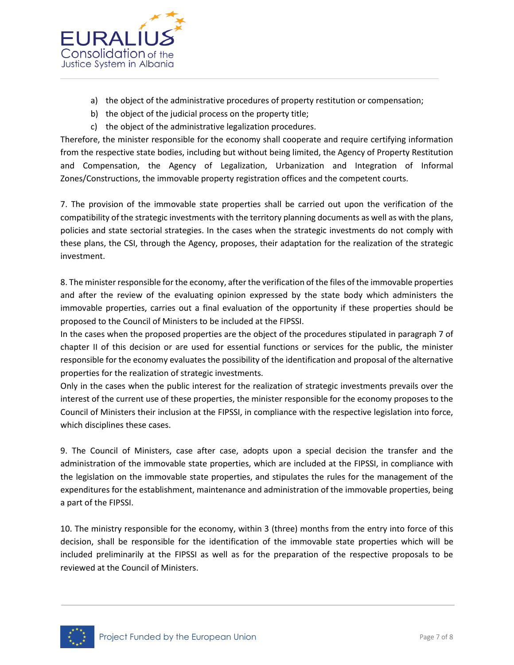

- a) the object of the administrative procedures of property restitution or compensation;
- b) the object of the judicial process on the property title;
- c) the object of the administrative legalization procedures.

Therefore, the minister responsible for the economy shall cooperate and require certifying information from the respective state bodies, including but without being limited, the Agency of Property Restitution and Compensation, the Agency of Legalization, Urbanization and Integration of Informal Zones/Constructions, the immovable property registration offices and the competent courts.

7. The provision of the immovable state properties shall be carried out upon the verification of the compatibility of the strategic investments with the territory planning documents as well as with the plans, policies and state sectorial strategies. In the cases when the strategic investments do not comply with these plans, the CSI, through the Agency, proposes, their adaptation for the realization of the strategic investment.

8. The minister responsible for the economy, after the verification of the files of the immovable properties and after the review of the evaluating opinion expressed by the state body which administers the immovable properties, carries out a final evaluation of the opportunity if these properties should be proposed to the Council of Ministers to be included at the FIPSSI.

In the cases when the proposed properties are the object of the procedures stipulated in paragraph 7 of chapter II of this decision or are used for essential functions or services for the public, the minister responsible for the economy evaluates the possibility of the identification and proposal of the alternative properties for the realization of strategic investments.

Only in the cases when the public interest for the realization of strategic investments prevails over the interest of the current use of these properties, the minister responsible for the economy proposes to the Council of Ministers their inclusion at the FIPSSI, in compliance with the respective legislation into force, which disciplines these cases.

9. The Council of Ministers, case after case, adopts upon a special decision the transfer and the administration of the immovable state properties, which are included at the FIPSSI, in compliance with the legislation on the immovable state properties, and stipulates the rules for the management of the expenditures for the establishment, maintenance and administration of the immovable properties, being a part of the FIPSSI.

10. The ministry responsible for the economy, within 3 (three) months from the entry into force of this decision, shall be responsible for the identification of the immovable state properties which will be included preliminarily at the FIPSSI as well as for the preparation of the respective proposals to be reviewed at the Council of Ministers.